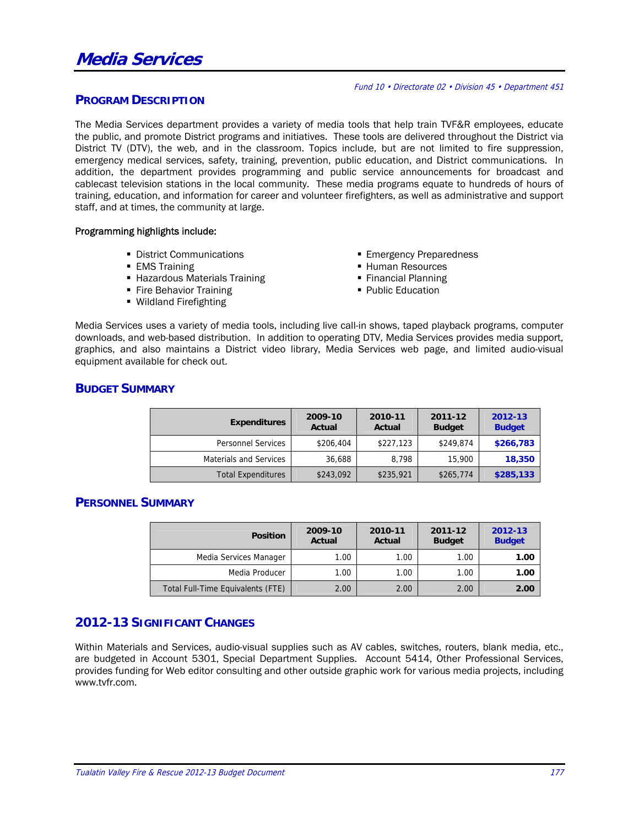#### Fund 10 • Directorate 02 • Division 45 • Department 451

#### **PROGRAM DESCRIPTION**

The Media Services department provides a variety of media tools that help train TVF&R employees, educate the public, and promote District programs and initiatives. These tools are delivered throughout the District via District TV (DTV), the web, and in the classroom. Topics include, but are not limited to fire suppression, emergency medical services, safety, training, prevention, public education, and District communications. In addition, the department provides programming and public service announcements for broadcast and cablecast television stations in the local community. These media programs equate to hundreds of hours of training, education, and information for career and volunteer firefighters, as well as administrative and support staff, and at times, the community at large.

#### Programming highlights include:

- **District Communications**
- **EMS** Training
- Hazardous Materials Training
- **Fire Behavior Training**
- Wildland Firefighting
- **Emergency Preparedness**
- Human Resources
- **Financial Planning**
- **Public Education**

Media Services uses a variety of media tools, including live call-in shows, taped playback programs, computer downloads, and web-based distribution. In addition to operating DTV, Media Services provides media support, graphics, and also maintains a District video library, Media Services web page, and limited audio-visual equipment available for check out.

#### **BUDGET SUMMARY**

| <b>Expenditures</b>           | 2009-10<br>Actual | 2010-11<br>Actual | 2011-12<br><b>Budget</b> | 2012-13<br><b>Budget</b> |  |
|-------------------------------|-------------------|-------------------|--------------------------|--------------------------|--|
| <b>Personnel Services</b>     | \$206,404         | \$227,123         | \$249,874                | \$266,783                |  |
| <b>Materials and Services</b> | 36,688            | 8.798             | 15,900                   | 18,350                   |  |
| <b>Total Expenditures</b>     | \$243,092         | \$235,921         | \$265,774                | \$285,133                |  |

#### **PERSONNEL SUMMARY**

| <b>Position</b>                   | 2009-10<br>Actual | 2010-11<br>Actual | 2011-12<br><b>Budget</b> | 2012-13<br><b>Budget</b> |
|-----------------------------------|-------------------|-------------------|--------------------------|--------------------------|
| Media Services Manager            | 1.00              | 1.00              | 1.00                     | 1.00                     |
| Media Producer                    | 1.00.             | 1.00              | 1.00                     | 1.00                     |
| Total Full-Time Equivalents (FTE) | 2.00              | 2.00              | 2.00                     | 2.00                     |

## **2012-13 SIGNIFICANT CHANGES**

Within Materials and Services, audio-visual supplies such as AV cables, switches, routers, blank media, etc., are budgeted in Account 5301, Special Department Supplies. Account 5414, Other Professional Services, provides funding for Web editor consulting and other outside graphic work for various media projects, including www.tvfr.com.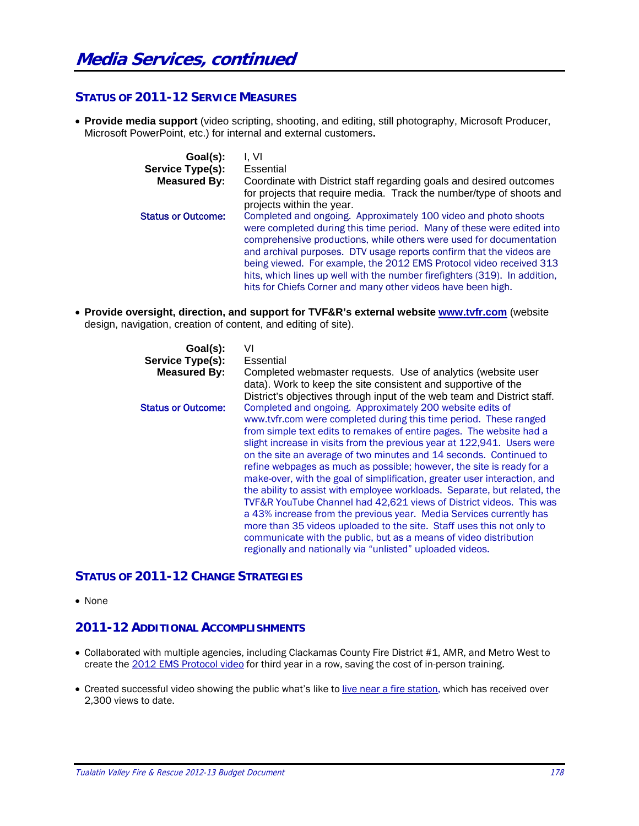## **STATUS OF 2011-12 SERVICE MEASURES**

 **Provide media support** (video scripting, shooting, and editing, still photography, Microsoft Producer, Microsoft PowerPoint, etc.) for internal and external customers**.** 

| Goal(s):<br>Service Type(s): | l. VI<br>Essential                                                                                                                                                                                                                                                                                                                                                                                                                                                                                            |
|------------------------------|---------------------------------------------------------------------------------------------------------------------------------------------------------------------------------------------------------------------------------------------------------------------------------------------------------------------------------------------------------------------------------------------------------------------------------------------------------------------------------------------------------------|
| <b>Measured By:</b>          | Coordinate with District staff regarding goals and desired outcomes<br>for projects that require media. Track the number/type of shoots and<br>projects within the year.                                                                                                                                                                                                                                                                                                                                      |
| <b>Status or Outcome:</b>    | Completed and ongoing. Approximately 100 video and photo shoots<br>were completed during this time period. Many of these were edited into<br>comprehensive productions, while others were used for documentation<br>and archival purposes. DTV usage reports confirm that the videos are<br>being viewed. For example, the 2012 EMS Protocol video received 313<br>hits, which lines up well with the number firefighters (319). In addition,<br>hits for Chiefs Corner and many other videos have been high. |

 **Provide oversight, direction, and support for TVF&R's external website www.tvfr.com** (website design, navigation, creation of content, and editing of site).

| Goal(s):                  | VI                                                                                                                                                 |
|---------------------------|----------------------------------------------------------------------------------------------------------------------------------------------------|
| Service Type(s):          | Essential                                                                                                                                          |
| <b>Measured By:</b>       | Completed webmaster requests. Use of analytics (website user<br>data). Work to keep the site consistent and supportive of the                      |
| <b>Status or Outcome:</b> | District's objectives through input of the web team and District staff.<br>Completed and ongoing. Approximately 200 website edits of               |
|                           | www.tvfr.com were completed during this time period. These ranged<br>from simple text edits to remakes of entire pages. The website had a          |
|                           | slight increase in visits from the previous year at 122,941. Users were<br>on the site an average of two minutes and 14 seconds. Continued to      |
|                           | refine webpages as much as possible; however, the site is ready for a<br>make-over, with the goal of simplification, greater user interaction, and |
|                           | the ability to assist with employee workloads. Separate, but related, the                                                                          |
|                           | TVF&R YouTube Channel had 42,621 views of District videos. This was<br>a 43% increase from the previous year. Media Services currently has         |
|                           | more than 35 videos uploaded to the site. Staff uses this not only to<br>communicate with the public, but as a means of video distribution         |
|                           | regionally and nationally via "unlisted" uploaded videos.                                                                                          |

#### **STATUS OF 2011-12 CHANGE STRATEGIES**

• None

## **2011-12 ADDITIONAL ACCOMPLISHMENTS**

- Collaborated with multiple agencies, including Clackamas County Fire District #1, AMR, and Metro West to create the 2012 EMS Protocol video for third year in a row, saving the cost of in-person training.
- Created successful video showing the public what's like to live near a fire station, which has received over 2,300 views to date.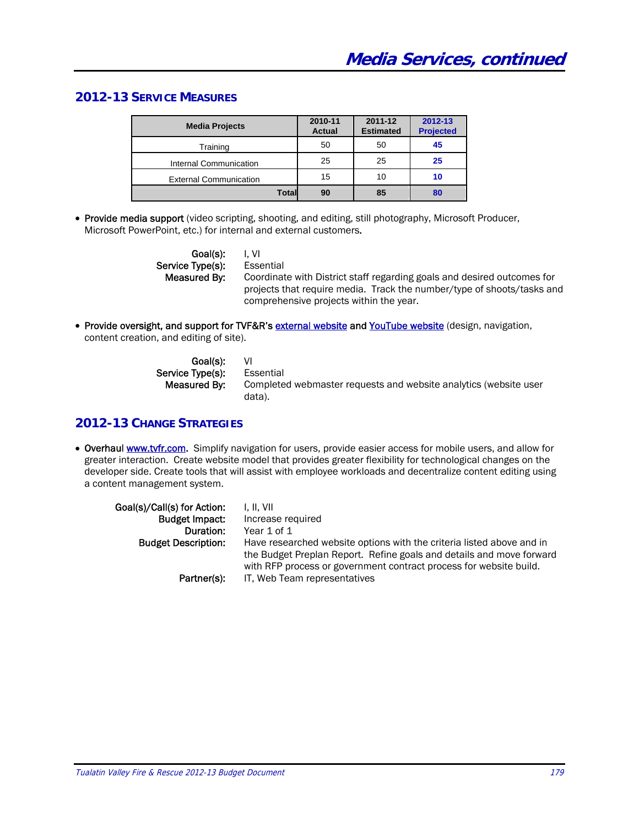## **2012-13 SERVICE MEASURES**

| <b>Media Projects</b>         | 2010-11<br><b>Actual</b> | 2011-12<br><b>Estimated</b> | 2012-13<br><b>Projected</b> |
|-------------------------------|--------------------------|-----------------------------|-----------------------------|
| Training                      | 50                       | 50                          | 45                          |
| Internal Communication        | 25                       | 25                          | 25                          |
| <b>External Communication</b> | 15                       | 10                          | 10                          |
| <b>Total</b>                  | 90                       | 85                          | 80                          |

• Provide media support (video scripting, shooting, and editing, still photography, Microsoft Producer, Microsoft PowerPoint, etc.) for internal and external customers.

> Goal(s): I, VI Service Type(s): Essential

 Measured By: Coordinate with District staff regarding goals and desired outcomes for projects that require media. Track the number/type of shoots/tasks and comprehensive projects within the year.

• Provide oversight, and support for TVF&R's external website and YouTube website (design, navigation, content creation, and editing of site).

| Goal(s):         | - VI                                                             |
|------------------|------------------------------------------------------------------|
| Service Type(s): | Essential                                                        |
| Measured By:     | Completed webmaster requests and website analytics (website user |
|                  | data).                                                           |

## **2012-13 CHANGE STRATEGIES**

• Overhaul www.tvfr.com. Simplify navigation for users, provide easier access for mobile users, and allow for greater interaction. Create website model that provides greater flexibility for technological changes on the developer side. Create tools that will assist with employee workloads and decentralize content editing using a content management system.

| Goal(s)/Call(s) for Action:<br>Budget Impact:<br>Duration:<br><b>Budget Description:</b> | I. II. VII<br>Increase required<br>Year 1 of 1<br>Have researched website options with the criteria listed above and in<br>the Budget Preplan Report. Refine goals and details and move forward<br>with RFP process or government contract process for website build. |
|------------------------------------------------------------------------------------------|-----------------------------------------------------------------------------------------------------------------------------------------------------------------------------------------------------------------------------------------------------------------------|
| Partner(s):                                                                              | IT, Web Team representatives                                                                                                                                                                                                                                          |